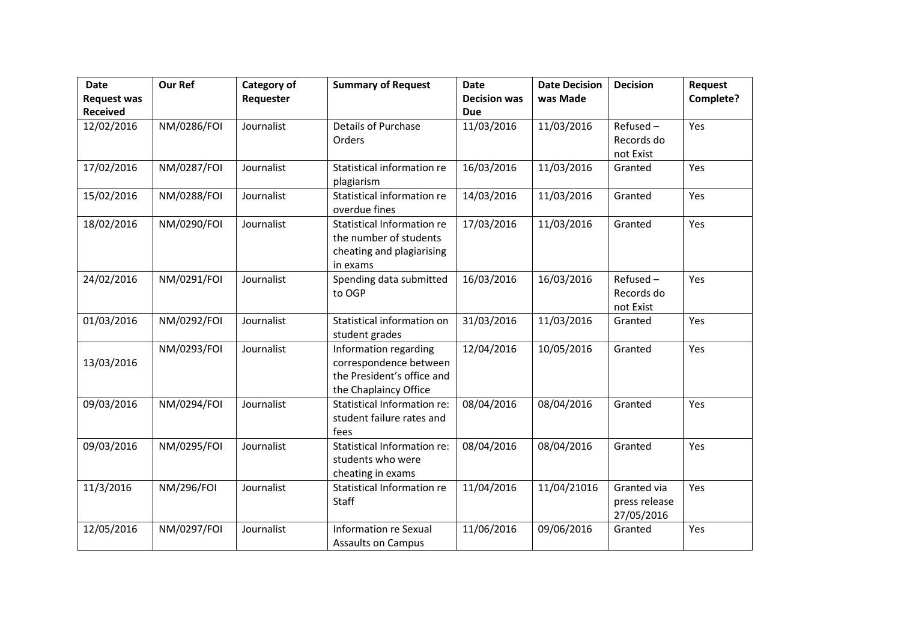| <b>Date</b><br><b>Request was</b> | <b>Our Ref</b>    | Category of<br>Requester | <b>Summary of Request</b>                                                                              | <b>Date</b><br><b>Decision was</b> | <b>Date Decision</b><br>was Made | <b>Decision</b>                            | Request<br>Complete? |
|-----------------------------------|-------------------|--------------------------|--------------------------------------------------------------------------------------------------------|------------------------------------|----------------------------------|--------------------------------------------|----------------------|
| <b>Received</b>                   |                   |                          |                                                                                                        | <b>Due</b>                         |                                  |                                            |                      |
| 12/02/2016                        | NM/0286/FOI       | Journalist               | Details of Purchase<br>Orders                                                                          | 11/03/2016                         | 11/03/2016                       | Refused-<br>Records do<br>not Exist        | Yes                  |
| 17/02/2016                        | NM/0287/FOI       | Journalist               | Statistical information re<br>plagiarism                                                               | 16/03/2016                         | 11/03/2016                       | Granted                                    | Yes                  |
| 15/02/2016                        | NM/0288/FOI       | Journalist               | Statistical information re<br>overdue fines                                                            | 14/03/2016                         | 11/03/2016                       | Granted                                    | Yes                  |
| 18/02/2016                        | NM/0290/FOI       | Journalist               | Statistical Information re<br>the number of students<br>cheating and plagiarising<br>in exams          | 17/03/2016                         | 11/03/2016                       | Granted                                    | Yes                  |
| 24/02/2016                        | NM/0291/FOI       | Journalist               | Spending data submitted<br>to OGP                                                                      | 16/03/2016                         | 16/03/2016                       | Refused-<br>Records do<br>not Exist        | Yes                  |
| 01/03/2016                        | NM/0292/FOI       | Journalist               | Statistical information on<br>student grades                                                           | 31/03/2016                         | 11/03/2016                       | Granted                                    | Yes                  |
| 13/03/2016                        | NM/0293/FOI       | Journalist               | Information regarding<br>correspondence between<br>the President's office and<br>the Chaplaincy Office | 12/04/2016                         | 10/05/2016                       | Granted                                    | Yes                  |
| 09/03/2016                        | NM/0294/FOI       | Journalist               | Statistical Information re:<br>student failure rates and<br>fees                                       | 08/04/2016                         | 08/04/2016                       | Granted                                    | Yes                  |
| 09/03/2016                        | NM/0295/FOI       | Journalist               | Statistical Information re:<br>students who were<br>cheating in exams                                  | 08/04/2016                         | 08/04/2016                       | Granted                                    | Yes                  |
| 11/3/2016                         | <b>NM/296/FOI</b> | Journalist               | Statistical Information re<br>Staff                                                                    | 11/04/2016                         | 11/04/21016                      | Granted via<br>press release<br>27/05/2016 | Yes                  |
| 12/05/2016                        | NM/0297/FOI       | Journalist               | <b>Information re Sexual</b><br><b>Assaults on Campus</b>                                              | 11/06/2016                         | 09/06/2016                       | Granted                                    | Yes                  |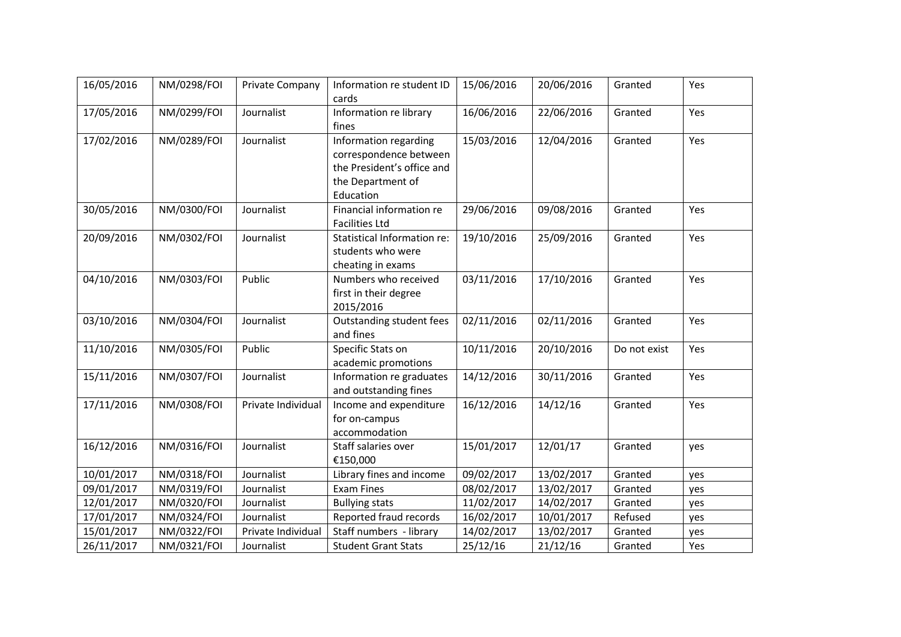| 16/05/2016 | NM/0298/FOI | Private Company    | Information re student ID<br>cards                                                                              | 15/06/2016 | 20/06/2016 | Granted      | Yes |
|------------|-------------|--------------------|-----------------------------------------------------------------------------------------------------------------|------------|------------|--------------|-----|
| 17/05/2016 | NM/0299/FOI | Journalist         | Information re library<br>fines                                                                                 | 16/06/2016 | 22/06/2016 | Granted      | Yes |
| 17/02/2016 | NM/0289/FOI | Journalist         | Information regarding<br>correspondence between<br>the President's office and<br>the Department of<br>Education | 15/03/2016 | 12/04/2016 | Granted      | Yes |
| 30/05/2016 | NM/0300/FOI | Journalist         | Financial information re<br><b>Facilities Ltd</b>                                                               | 29/06/2016 | 09/08/2016 | Granted      | Yes |
| 20/09/2016 | NM/0302/FOI | Journalist         | <b>Statistical Information re:</b><br>students who were<br>cheating in exams                                    | 19/10/2016 | 25/09/2016 | Granted      | Yes |
| 04/10/2016 | NM/0303/FOI | Public             | Numbers who received<br>first in their degree<br>2015/2016                                                      | 03/11/2016 | 17/10/2016 | Granted      | Yes |
| 03/10/2016 | NM/0304/FOI | Journalist         | Outstanding student fees<br>and fines                                                                           | 02/11/2016 | 02/11/2016 | Granted      | Yes |
| 11/10/2016 | NM/0305/FOI | Public             | Specific Stats on<br>academic promotions                                                                        | 10/11/2016 | 20/10/2016 | Do not exist | Yes |
| 15/11/2016 | NM/0307/FOI | Journalist         | Information re graduates<br>and outstanding fines                                                               | 14/12/2016 | 30/11/2016 | Granted      | Yes |
| 17/11/2016 | NM/0308/FOI | Private Individual | Income and expenditure<br>for on-campus<br>accommodation                                                        | 16/12/2016 | 14/12/16   | Granted      | Yes |
| 16/12/2016 | NM/0316/FOI | Journalist         | Staff salaries over<br>€150,000                                                                                 | 15/01/2017 | 12/01/17   | Granted      | yes |
| 10/01/2017 | NM/0318/FOI | Journalist         | Library fines and income                                                                                        | 09/02/2017 | 13/02/2017 | Granted      | yes |
| 09/01/2017 | NM/0319/FOI | Journalist         | <b>Exam Fines</b>                                                                                               | 08/02/2017 | 13/02/2017 | Granted      | yes |
| 12/01/2017 | NM/0320/FOI | Journalist         | <b>Bullying stats</b>                                                                                           | 11/02/2017 | 14/02/2017 | Granted      | yes |
| 17/01/2017 | NM/0324/FOI | Journalist         | Reported fraud records                                                                                          | 16/02/2017 | 10/01/2017 | Refused      | yes |
| 15/01/2017 | NM/0322/FOI | Private Individual | Staff numbers - library                                                                                         | 14/02/2017 | 13/02/2017 | Granted      | yes |
| 26/11/2017 | NM/0321/FOI | Journalist         | <b>Student Grant Stats</b>                                                                                      | 25/12/16   | 21/12/16   | Granted      | Yes |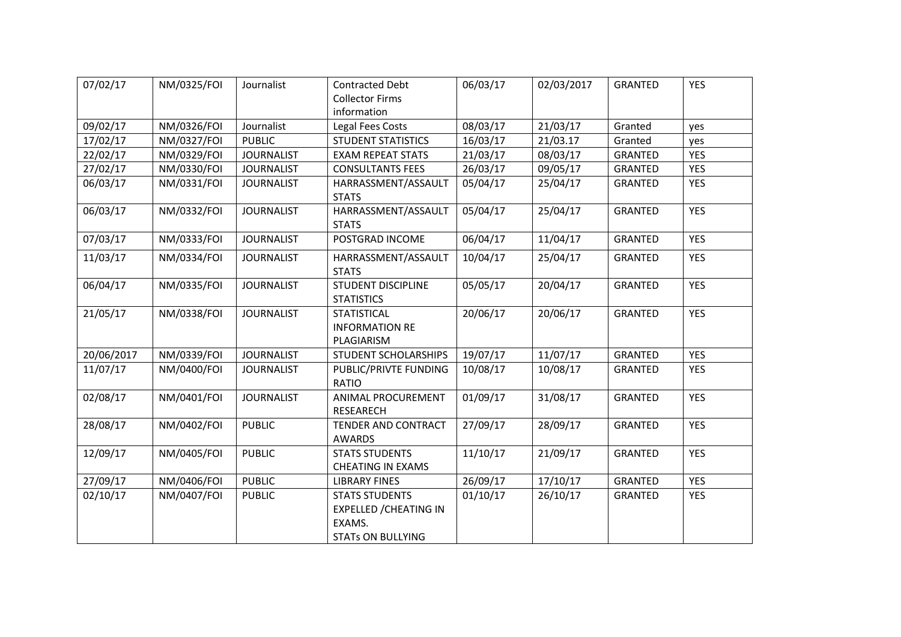| 07/02/17   | NM/0325/FOI | Journalist        | <b>Contracted Debt</b><br><b>Collector Firms</b><br>information                              | 06/03/17 | 02/03/2017 | GRANTED        | <b>YES</b> |
|------------|-------------|-------------------|----------------------------------------------------------------------------------------------|----------|------------|----------------|------------|
| 09/02/17   | NM/0326/FOI | Journalist        | Legal Fees Costs                                                                             | 08/03/17 | 21/03/17   | Granted        | yes        |
| 17/02/17   | NM/0327/FOI | <b>PUBLIC</b>     | <b>STUDENT STATISTICS</b>                                                                    | 16/03/17 | 21/03.17   | Granted        | yes        |
| 22/02/17   | NM/0329/FOI | <b>JOURNALIST</b> | <b>EXAM REPEAT STATS</b>                                                                     | 21/03/17 | 08/03/17   | GRANTED        | <b>YES</b> |
| 27/02/17   | NM/0330/FOI | <b>JOURNALIST</b> | <b>CONSULTANTS FEES</b>                                                                      | 26/03/17 | 09/05/17   | <b>GRANTED</b> | <b>YES</b> |
| 06/03/17   | NM/0331/FOI | <b>JOURNALIST</b> | HARRASSMENT/ASSAULT<br><b>STATS</b>                                                          | 05/04/17 | 25/04/17   | <b>GRANTED</b> | <b>YES</b> |
| 06/03/17   | NM/0332/FOI | <b>JOURNALIST</b> | HARRASSMENT/ASSAULT<br><b>STATS</b>                                                          | 05/04/17 | 25/04/17   | <b>GRANTED</b> | <b>YES</b> |
| 07/03/17   | NM/0333/FOI | <b>JOURNALIST</b> | POSTGRAD INCOME                                                                              | 06/04/17 | 11/04/17   | <b>GRANTED</b> | <b>YES</b> |
| 11/03/17   | NM/0334/FOI | <b>JOURNALIST</b> | HARRASSMENT/ASSAULT<br><b>STATS</b>                                                          | 10/04/17 | 25/04/17   | <b>GRANTED</b> | <b>YES</b> |
| 06/04/17   | NM/0335/FOI | <b>JOURNALIST</b> | <b>STUDENT DISCIPLINE</b><br><b>STATISTICS</b>                                               | 05/05/17 | 20/04/17   | <b>GRANTED</b> | <b>YES</b> |
| 21/05/17   | NM/0338/FOI | <b>JOURNALIST</b> | <b>STATISTICAL</b><br><b>INFORMATION RE</b><br>PLAGIARISM                                    | 20/06/17 | 20/06/17   | <b>GRANTED</b> | <b>YES</b> |
| 20/06/2017 | NM/0339/FOI | <b>JOURNALIST</b> | STUDENT SCHOLARSHIPS                                                                         | 19/07/17 | 11/07/17   | <b>GRANTED</b> | <b>YES</b> |
| 11/07/17   | NM/0400/FOI | <b>JOURNALIST</b> | PUBLIC/PRIVTE FUNDING<br><b>RATIO</b>                                                        | 10/08/17 | 10/08/17   | <b>GRANTED</b> | <b>YES</b> |
| 02/08/17   | NM/0401/FOI | <b>JOURNALIST</b> | <b>ANIMAL PROCUREMENT</b><br>RESEARECH                                                       | 01/09/17 | 31/08/17   | <b>GRANTED</b> | <b>YES</b> |
| 28/08/17   | NM/0402/FOI | <b>PUBLIC</b>     | TENDER AND CONTRACT<br><b>AWARDS</b>                                                         | 27/09/17 | 28/09/17   | GRANTED        | <b>YES</b> |
| 12/09/17   | NM/0405/FOI | <b>PUBLIC</b>     | <b>STATS STUDENTS</b><br><b>CHEATING IN EXAMS</b>                                            | 11/10/17 | 21/09/17   | <b>GRANTED</b> | <b>YES</b> |
| 27/09/17   | NM/0406/FOI | <b>PUBLIC</b>     | <b>LIBRARY FINES</b>                                                                         | 26/09/17 | 17/10/17   | GRANTED        | <b>YES</b> |
| 02/10/17   | NM/0407/FOI | <b>PUBLIC</b>     | <b>STATS STUDENTS</b><br><b>EXPELLED / CHEATING IN</b><br>EXAMS.<br><b>STATs ON BULLYING</b> | 01/10/17 | 26/10/17   | <b>GRANTED</b> | <b>YES</b> |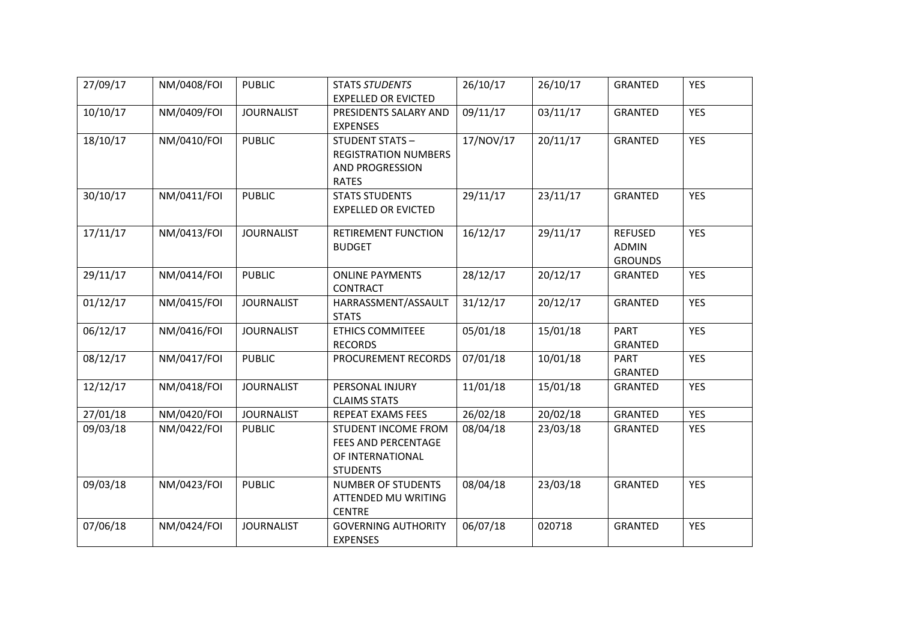| 27/09/17 | NM/0408/FOI | <b>PUBLIC</b>     | <b>STATS STUDENTS</b><br><b>EXPELLED OR EVICTED</b>                                            | 26/10/17  | 26/10/17 | <b>GRANTED</b>                                   | <b>YES</b> |
|----------|-------------|-------------------|------------------------------------------------------------------------------------------------|-----------|----------|--------------------------------------------------|------------|
| 10/10/17 | NM/0409/FOI | <b>JOURNALIST</b> | PRESIDENTS SALARY AND<br><b>EXPENSES</b>                                                       | 09/11/17  | 03/11/17 | <b>GRANTED</b>                                   | <b>YES</b> |
| 18/10/17 | NM/0410/FOI | <b>PUBLIC</b>     | <b>STUDENT STATS-</b><br><b>REGISTRATION NUMBERS</b><br><b>AND PROGRESSION</b><br><b>RATES</b> | 17/NOV/17 | 20/11/17 | <b>GRANTED</b>                                   | <b>YES</b> |
| 30/10/17 | NM/0411/FOI | <b>PUBLIC</b>     | <b>STATS STUDENTS</b><br><b>EXPELLED OR EVICTED</b>                                            | 29/11/17  | 23/11/17 | <b>GRANTED</b>                                   | <b>YES</b> |
| 17/11/17 | NM/0413/FOI | <b>JOURNALIST</b> | RETIREMENT FUNCTION<br><b>BUDGET</b>                                                           | 16/12/17  | 29/11/17 | <b>REFUSED</b><br><b>ADMIN</b><br><b>GROUNDS</b> | <b>YES</b> |
| 29/11/17 | NM/0414/FOI | <b>PUBLIC</b>     | <b>ONLINE PAYMENTS</b><br><b>CONTRACT</b>                                                      | 28/12/17  | 20/12/17 | GRANTED                                          | <b>YES</b> |
| 01/12/17 | NM/0415/FOI | <b>JOURNALIST</b> | HARRASSMENT/ASSAULT<br><b>STATS</b>                                                            | 31/12/17  | 20/12/17 | GRANTED                                          | <b>YES</b> |
| 06/12/17 | NM/0416/FOI | <b>JOURNALIST</b> | <b>ETHICS COMMITEEE</b><br><b>RECORDS</b>                                                      | 05/01/18  | 15/01/18 | <b>PART</b><br><b>GRANTED</b>                    | <b>YES</b> |
| 08/12/17 | NM/0417/FOI | <b>PUBLIC</b>     | PROCUREMENT RECORDS                                                                            | 07/01/18  | 10/01/18 | <b>PART</b><br>GRANTED                           | <b>YES</b> |
| 12/12/17 | NM/0418/FOI | <b>JOURNALIST</b> | PERSONAL INJURY<br><b>CLAIMS STATS</b>                                                         | 11/01/18  | 15/01/18 | <b>GRANTED</b>                                   | <b>YES</b> |
| 27/01/18 | NM/0420/FOI | <b>JOURNALIST</b> | REPEAT EXAMS FEES                                                                              | 26/02/18  | 20/02/18 | <b>GRANTED</b>                                   | <b>YES</b> |
| 09/03/18 | NM/0422/FOI | <b>PUBLIC</b>     | STUDENT INCOME FROM<br><b>FEES AND PERCENTAGE</b><br>OF INTERNATIONAL<br><b>STUDENTS</b>       | 08/04/18  | 23/03/18 | GRANTED                                          | <b>YES</b> |
| 09/03/18 | NM/0423/FOI | <b>PUBLIC</b>     | <b>NUMBER OF STUDENTS</b><br>ATTENDED MU WRITING<br><b>CENTRE</b>                              | 08/04/18  | 23/03/18 | <b>GRANTED</b>                                   | <b>YES</b> |
| 07/06/18 | NM/0424/FOI | <b>JOURNALIST</b> | <b>GOVERNING AUTHORITY</b><br><b>EXPENSES</b>                                                  | 06/07/18  | 020718   | <b>GRANTED</b>                                   | <b>YES</b> |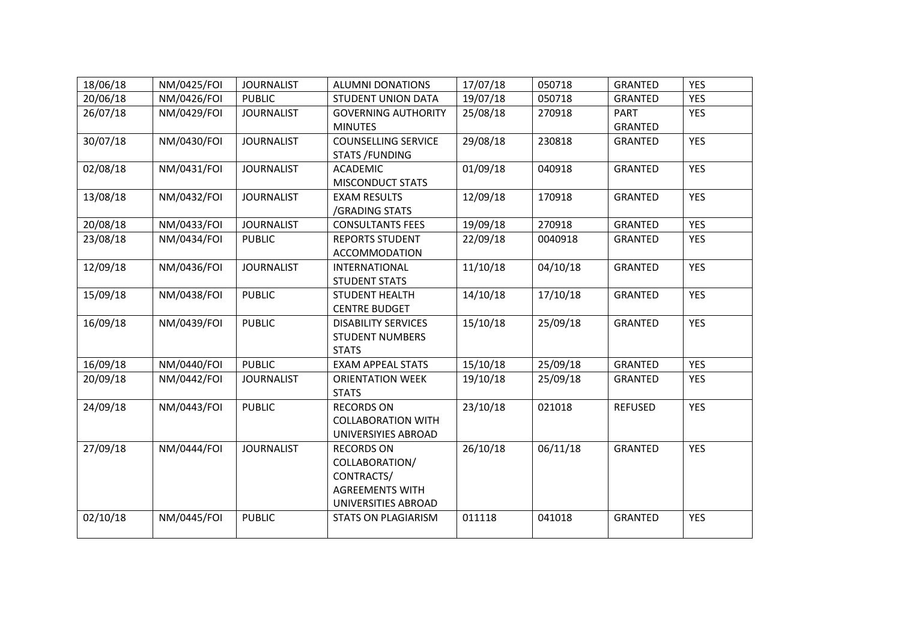| 18/06/18 | NM/0425/FOI | <b>JOURNALIST</b> | <b>ALUMNI DONATIONS</b>    | 17/07/18 | 050718   | <b>GRANTED</b> | <b>YES</b> |
|----------|-------------|-------------------|----------------------------|----------|----------|----------------|------------|
| 20/06/18 | NM/0426/FOI | <b>PUBLIC</b>     | STUDENT UNION DATA         | 19/07/18 | 050718   | <b>GRANTED</b> | <b>YES</b> |
| 26/07/18 | NM/0429/FOI | <b>JOURNALIST</b> | <b>GOVERNING AUTHORITY</b> | 25/08/18 | 270918   | <b>PART</b>    | <b>YES</b> |
|          |             |                   | <b>MINUTES</b>             |          |          | <b>GRANTED</b> |            |
| 30/07/18 | NM/0430/FOI | <b>JOURNALIST</b> | <b>COUNSELLING SERVICE</b> | 29/08/18 | 230818   | <b>GRANTED</b> | <b>YES</b> |
|          |             |                   | <b>STATS /FUNDING</b>      |          |          |                |            |
| 02/08/18 | NM/0431/FOI | <b>JOURNALIST</b> | <b>ACADEMIC</b>            | 01/09/18 | 040918   | GRANTED        | <b>YES</b> |
|          |             |                   | <b>MISCONDUCT STATS</b>    |          |          |                |            |
| 13/08/18 | NM/0432/FOI | <b>JOURNALIST</b> | <b>EXAM RESULTS</b>        | 12/09/18 | 170918   | <b>GRANTED</b> | <b>YES</b> |
|          |             |                   | /GRADING STATS             |          |          |                |            |
| 20/08/18 | NM/0433/FOI | <b>JOURNALIST</b> | <b>CONSULTANTS FEES</b>    | 19/09/18 | 270918   | <b>GRANTED</b> | <b>YES</b> |
| 23/08/18 | NM/0434/FOI | <b>PUBLIC</b>     | <b>REPORTS STUDENT</b>     | 22/09/18 | 0040918  | <b>GRANTED</b> | <b>YES</b> |
|          |             |                   | <b>ACCOMMODATION</b>       |          |          |                |            |
| 12/09/18 | NM/0436/FOI | <b>JOURNALIST</b> | <b>INTERNATIONAL</b>       | 11/10/18 | 04/10/18 | <b>GRANTED</b> | <b>YES</b> |
|          |             |                   | <b>STUDENT STATS</b>       |          |          |                |            |
| 15/09/18 | NM/0438/FOI | <b>PUBLIC</b>     | <b>STUDENT HEALTH</b>      | 14/10/18 | 17/10/18 | <b>GRANTED</b> | <b>YES</b> |
|          |             |                   | <b>CENTRE BUDGET</b>       |          |          |                |            |
| 16/09/18 | NM/0439/FOI | <b>PUBLIC</b>     | <b>DISABILITY SERVICES</b> | 15/10/18 | 25/09/18 | <b>GRANTED</b> | <b>YES</b> |
|          |             |                   | <b>STUDENT NUMBERS</b>     |          |          |                |            |
|          |             |                   | <b>STATS</b>               |          |          |                |            |
| 16/09/18 | NM/0440/FOI | <b>PUBLIC</b>     | <b>EXAM APPEAL STATS</b>   | 15/10/18 | 25/09/18 | <b>GRANTED</b> | <b>YES</b> |
| 20/09/18 | NM/0442/FOI | <b>JOURNALIST</b> | <b>ORIENTATION WEEK</b>    | 19/10/18 | 25/09/18 | <b>GRANTED</b> | <b>YES</b> |
|          |             |                   | <b>STATS</b>               |          |          |                |            |
| 24/09/18 | NM/0443/FOI | <b>PUBLIC</b>     | <b>RECORDS ON</b>          | 23/10/18 | 021018   | <b>REFUSED</b> | <b>YES</b> |
|          |             |                   | <b>COLLABORATION WITH</b>  |          |          |                |            |
|          |             |                   | UNIVERSIYIES ABROAD        |          |          |                |            |
| 27/09/18 | NM/0444/FOI | <b>JOURNALIST</b> | <b>RECORDS ON</b>          | 26/10/18 | 06/11/18 | GRANTED        | <b>YES</b> |
|          |             |                   | COLLABORATION/             |          |          |                |            |
|          |             |                   | CONTRACTS/                 |          |          |                |            |
|          |             |                   | <b>AGREEMENTS WITH</b>     |          |          |                |            |
|          |             |                   | UNIVERSITIES ABROAD        |          |          |                |            |
| 02/10/18 | NM/0445/FOI | <b>PUBLIC</b>     | <b>STATS ON PLAGIARISM</b> | 011118   | 041018   | <b>GRANTED</b> | <b>YES</b> |
|          |             |                   |                            |          |          |                |            |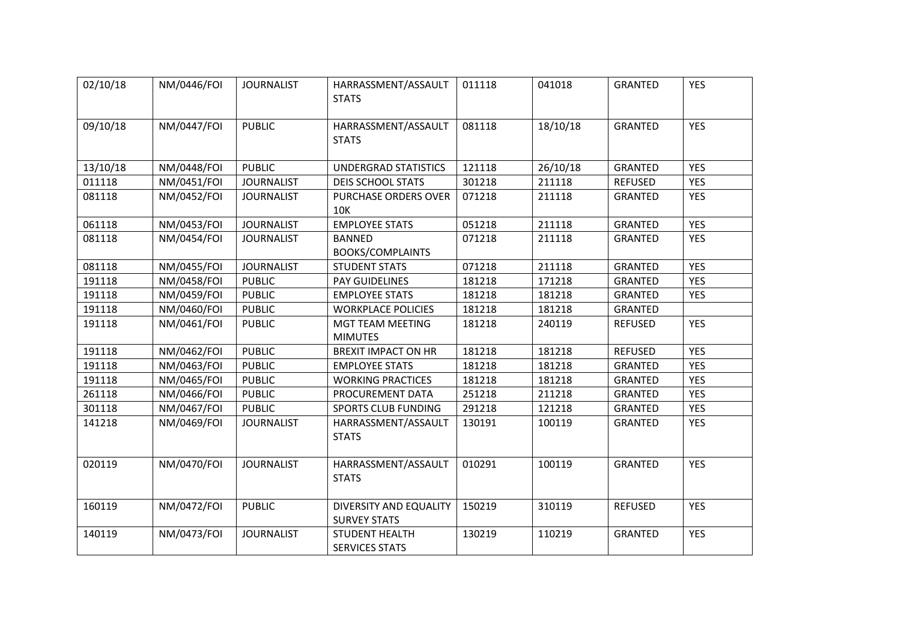| 02/10/18 | NM/0446/FOI | <b>JOURNALIST</b> | HARRASSMENT/ASSAULT<br><b>STATS</b>            | 011118 | 041018   | <b>GRANTED</b> | <b>YES</b> |
|----------|-------------|-------------------|------------------------------------------------|--------|----------|----------------|------------|
| 09/10/18 | NM/0447/FOI | <b>PUBLIC</b>     | HARRASSMENT/ASSAULT<br><b>STATS</b>            | 081118 | 18/10/18 | <b>GRANTED</b> | <b>YES</b> |
| 13/10/18 | NM/0448/FOI | <b>PUBLIC</b>     | <b>UNDERGRAD STATISTICS</b>                    | 121118 | 26/10/18 | <b>GRANTED</b> | <b>YES</b> |
| 011118   | NM/0451/FOI | <b>JOURNALIST</b> | <b>DEIS SCHOOL STATS</b>                       | 301218 | 211118   | <b>REFUSED</b> | <b>YES</b> |
| 081118   | NM/0452/FOI | <b>JOURNALIST</b> | PURCHASE ORDERS OVER<br>10K                    | 071218 | 211118   | <b>GRANTED</b> | <b>YES</b> |
| 061118   | NM/0453/FOI | <b>JOURNALIST</b> | <b>EMPLOYEE STATS</b>                          | 051218 | 211118   | <b>GRANTED</b> | <b>YES</b> |
| 081118   | NM/0454/FOI | <b>JOURNALIST</b> | <b>BANNED</b><br><b>BOOKS/COMPLAINTS</b>       | 071218 | 211118   | <b>GRANTED</b> | <b>YES</b> |
| 081118   | NM/0455/FOI | <b>JOURNALIST</b> | <b>STUDENT STATS</b>                           | 071218 | 211118   | GRANTED        | <b>YES</b> |
| 191118   | NM/0458/FOI | <b>PUBLIC</b>     | PAY GUIDELINES                                 | 181218 | 171218   | <b>GRANTED</b> | <b>YES</b> |
| 191118   | NM/0459/FOI | <b>PUBLIC</b>     | <b>EMPLOYEE STATS</b>                          | 181218 | 181218   | <b>GRANTED</b> | <b>YES</b> |
| 191118   | NM/0460/FOI | <b>PUBLIC</b>     | <b>WORKPLACE POLICIES</b>                      | 181218 | 181218   | <b>GRANTED</b> |            |
| 191118   | NM/0461/FOI | <b>PUBLIC</b>     | MGT TEAM MEETING<br><b>MIMUTES</b>             | 181218 | 240119   | <b>REFUSED</b> | <b>YES</b> |
| 191118   | NM/0462/FOI | <b>PUBLIC</b>     | <b>BREXIT IMPACT ON HR</b>                     | 181218 | 181218   | <b>REFUSED</b> | <b>YES</b> |
| 191118   | NM/0463/FOI | <b>PUBLIC</b>     | <b>EMPLOYEE STATS</b>                          | 181218 | 181218   | GRANTED        | <b>YES</b> |
| 191118   | NM/0465/FOI | <b>PUBLIC</b>     | <b>WORKING PRACTICES</b>                       | 181218 | 181218   | <b>GRANTED</b> | <b>YES</b> |
| 261118   | NM/0466/FOI | <b>PUBLIC</b>     | PROCUREMENT DATA                               | 251218 | 211218   | GRANTED        | <b>YES</b> |
| 301118   | NM/0467/FOI | <b>PUBLIC</b>     | <b>SPORTS CLUB FUNDING</b>                     | 291218 | 121218   | GRANTED        | <b>YES</b> |
| 141218   | NM/0469/FOI | <b>JOURNALIST</b> | HARRASSMENT/ASSAULT<br><b>STATS</b>            | 130191 | 100119   | <b>GRANTED</b> | <b>YES</b> |
| 020119   | NM/0470/FOI | <b>JOURNALIST</b> | HARRASSMENT/ASSAULT<br><b>STATS</b>            | 010291 | 100119   | <b>GRANTED</b> | <b>YES</b> |
| 160119   | NM/0472/FOI | <b>PUBLIC</b>     | DIVERSITY AND EQUALITY<br><b>SURVEY STATS</b>  | 150219 | 310119   | <b>REFUSED</b> | <b>YES</b> |
| 140119   | NM/0473/FOI | <b>JOURNALIST</b> | <b>STUDENT HEALTH</b><br><b>SERVICES STATS</b> | 130219 | 110219   | <b>GRANTED</b> | <b>YES</b> |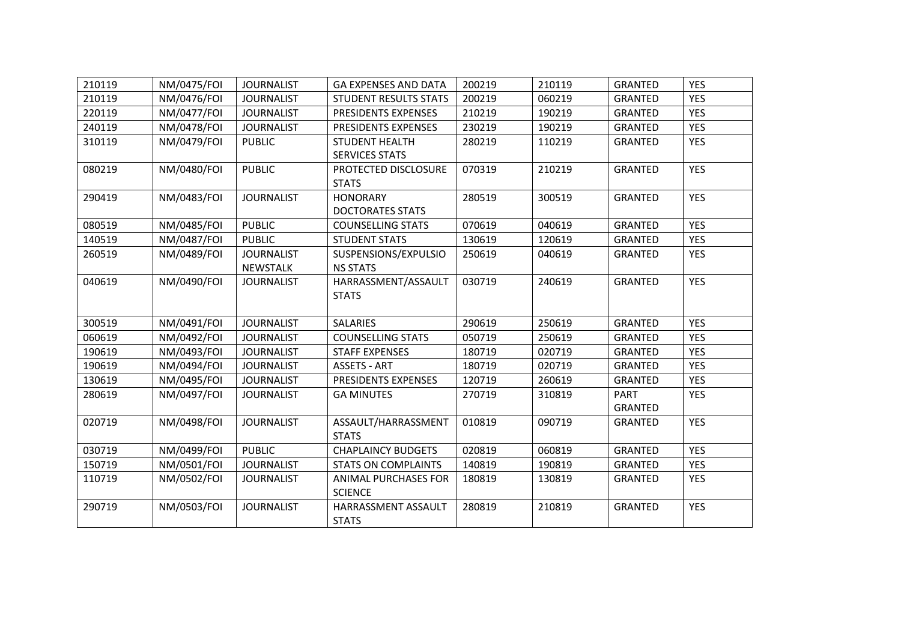| 210119 | NM/0475/FOI | <b>JOURNALIST</b> | <b>GA EXPENSES AND DATA</b>  | 200219 | 210119 | <b>GRANTED</b> | <b>YES</b> |
|--------|-------------|-------------------|------------------------------|--------|--------|----------------|------------|
| 210119 | NM/0476/FOI | <b>JOURNALIST</b> | <b>STUDENT RESULTS STATS</b> | 200219 | 060219 | <b>GRANTED</b> | <b>YES</b> |
| 220119 | NM/0477/FOI | <b>JOURNALIST</b> | PRESIDENTS EXPENSES          | 210219 | 190219 | <b>GRANTED</b> | <b>YES</b> |
| 240119 | NM/0478/FOI | <b>JOURNALIST</b> | PRESIDENTS EXPENSES          | 230219 | 190219 | <b>GRANTED</b> | <b>YES</b> |
| 310119 | NM/0479/FOI | <b>PUBLIC</b>     | <b>STUDENT HEALTH</b>        | 280219 | 110219 | GRANTED        | <b>YES</b> |
|        |             |                   | <b>SERVICES STATS</b>        |        |        |                |            |
| 080219 | NM/0480/FOI | <b>PUBLIC</b>     | PROTECTED DISCLOSURE         | 070319 | 210219 | <b>GRANTED</b> | <b>YES</b> |
|        |             |                   | <b>STATS</b>                 |        |        |                |            |
| 290419 | NM/0483/FOI | <b>JOURNALIST</b> | <b>HONORARY</b>              | 280519 | 300519 | <b>GRANTED</b> | <b>YES</b> |
|        |             |                   | <b>DOCTORATES STATS</b>      |        |        |                |            |
| 080519 | NM/0485/FOI | <b>PUBLIC</b>     | <b>COUNSELLING STATS</b>     | 070619 | 040619 | <b>GRANTED</b> | <b>YES</b> |
| 140519 | NM/0487/FOI | <b>PUBLIC</b>     | <b>STUDENT STATS</b>         | 130619 | 120619 | <b>GRANTED</b> | <b>YES</b> |
| 260519 | NM/0489/FOI | <b>JOURNALIST</b> | SUSPENSIONS/EXPULSIO         | 250619 | 040619 | <b>GRANTED</b> | <b>YES</b> |
|        |             | <b>NEWSTALK</b>   | <b>NS STATS</b>              |        |        |                |            |
| 040619 | NM/0490/FOI | <b>JOURNALIST</b> | HARRASSMENT/ASSAULT          | 030719 | 240619 | <b>GRANTED</b> | <b>YES</b> |
|        |             |                   | <b>STATS</b>                 |        |        |                |            |
|        |             |                   |                              |        |        |                |            |
| 300519 | NM/0491/FOI | <b>JOURNALIST</b> | <b>SALARIES</b>              | 290619 | 250619 | <b>GRANTED</b> | <b>YES</b> |
| 060619 | NM/0492/FOI | <b>JOURNALIST</b> | <b>COUNSELLING STATS</b>     | 050719 | 250619 | <b>GRANTED</b> | <b>YES</b> |
| 190619 | NM/0493/FOI | <b>JOURNALIST</b> | <b>STAFF EXPENSES</b>        | 180719 | 020719 | <b>GRANTED</b> | <b>YES</b> |
| 190619 | NM/0494/FOI | <b>JOURNALIST</b> | <b>ASSETS - ART</b>          | 180719 | 020719 | <b>GRANTED</b> | <b>YES</b> |
| 130619 | NM/0495/FOI | <b>JOURNALIST</b> | PRESIDENTS EXPENSES          | 120719 | 260619 | <b>GRANTED</b> | <b>YES</b> |
| 280619 | NM/0497/FOI | <b>JOURNALIST</b> | <b>GA MINUTES</b>            | 270719 | 310819 | <b>PART</b>    | <b>YES</b> |
|        |             |                   |                              |        |        | GRANTED        |            |
| 020719 | NM/0498/FOI | <b>JOURNALIST</b> | ASSAULT/HARRASSMENT          | 010819 | 090719 | <b>GRANTED</b> | <b>YES</b> |
|        |             |                   | <b>STATS</b>                 |        |        |                |            |
| 030719 | NM/0499/FOI | <b>PUBLIC</b>     | <b>CHAPLAINCY BUDGETS</b>    | 020819 | 060819 | GRANTED        | <b>YES</b> |
| 150719 | NM/0501/FOI | <b>JOURNALIST</b> | <b>STATS ON COMPLAINTS</b>   | 140819 | 190819 | GRANTED        | <b>YES</b> |
| 110719 | NM/0502/FOI | <b>JOURNALIST</b> | <b>ANIMAL PURCHASES FOR</b>  | 180819 | 130819 | GRANTED        | <b>YES</b> |
|        |             |                   | <b>SCIENCE</b>               |        |        |                |            |
| 290719 | NM/0503/FOI | <b>JOURNALIST</b> | HARRASSMENT ASSAULT          | 280819 | 210819 | GRANTED        | <b>YES</b> |
|        |             |                   | <b>STATS</b>                 |        |        |                |            |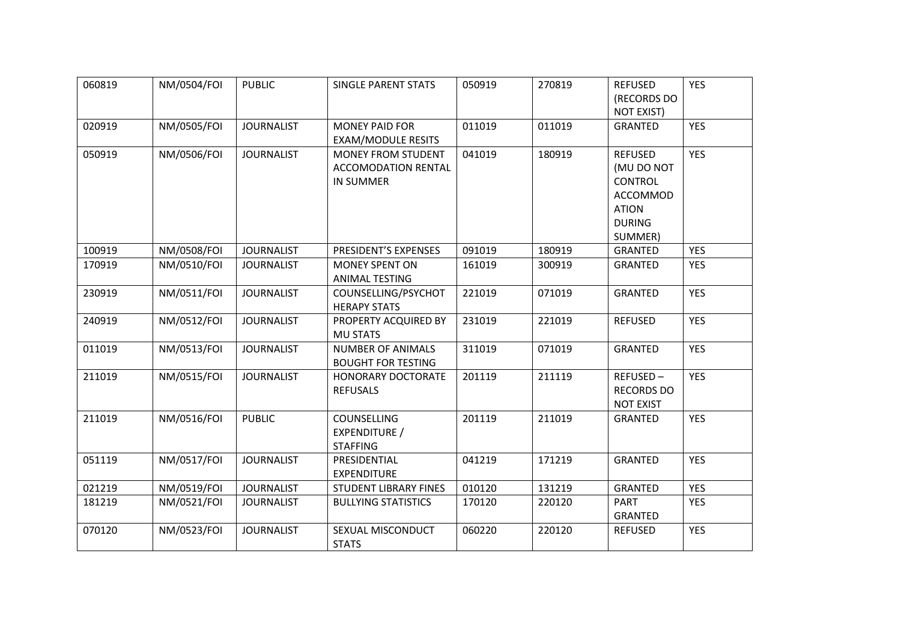| 060819 | NM/0504/FOI | <b>PUBLIC</b>     | <b>SINGLE PARENT STATS</b>   | 050919 | 270819 | <b>REFUSED</b>    | <b>YES</b> |
|--------|-------------|-------------------|------------------------------|--------|--------|-------------------|------------|
|        |             |                   |                              |        |        | (RECORDS DO       |            |
|        |             |                   |                              |        |        | <b>NOT EXIST)</b> |            |
| 020919 | NM/0505/FOI | <b>JOURNALIST</b> | <b>MONEY PAID FOR</b>        | 011019 | 011019 | <b>GRANTED</b>    | <b>YES</b> |
|        |             |                   | <b>EXAM/MODULE RESITS</b>    |        |        |                   |            |
| 050919 | NM/0506/FOI | <b>JOURNALIST</b> | <b>MONEY FROM STUDENT</b>    | 041019 | 180919 | <b>REFUSED</b>    | <b>YES</b> |
|        |             |                   | ACCOMODATION RENTAL          |        |        | (MU DO NOT        |            |
|        |             |                   | <b>IN SUMMER</b>             |        |        | <b>CONTROL</b>    |            |
|        |             |                   |                              |        |        | ACCOMMOD          |            |
|        |             |                   |                              |        |        | <b>ATION</b>      |            |
|        |             |                   |                              |        |        | <b>DURING</b>     |            |
|        |             |                   |                              |        |        | SUMMER)           |            |
| 100919 | NM/0508/FOI | <b>JOURNALIST</b> | PRESIDENT'S EXPENSES         | 091019 | 180919 | <b>GRANTED</b>    | <b>YES</b> |
| 170919 | NM/0510/FOI | <b>JOURNALIST</b> | <b>MONEY SPENT ON</b>        | 161019 | 300919 | <b>GRANTED</b>    | <b>YES</b> |
|        |             |                   | <b>ANIMAL TESTING</b>        |        |        |                   |            |
| 230919 | NM/0511/FOI | <b>JOURNALIST</b> | COUNSELLING/PSYCHOT          | 221019 | 071019 | <b>GRANTED</b>    | <b>YES</b> |
|        |             |                   | <b>HERAPY STATS</b>          |        |        |                   |            |
| 240919 | NM/0512/FOI | <b>JOURNALIST</b> | PROPERTY ACQUIRED BY         | 231019 | 221019 | <b>REFUSED</b>    | <b>YES</b> |
|        |             |                   | <b>MU STATS</b>              |        |        |                   |            |
| 011019 | NM/0513/FOI | <b>JOURNALIST</b> | <b>NUMBER OF ANIMALS</b>     | 311019 | 071019 | <b>GRANTED</b>    | <b>YES</b> |
|        |             |                   | <b>BOUGHT FOR TESTING</b>    |        |        |                   |            |
| 211019 | NM/0515/FOI | <b>JOURNALIST</b> | HONORARY DOCTORATE           | 201119 | 211119 | REFUSED-          | <b>YES</b> |
|        |             |                   | <b>REFUSALS</b>              |        |        | <b>RECORDS DO</b> |            |
|        |             |                   |                              |        |        | <b>NOT EXIST</b>  |            |
| 211019 | NM/0516/FOI | <b>PUBLIC</b>     | COUNSELLING                  | 201119 | 211019 | GRANTED           | <b>YES</b> |
|        |             |                   | EXPENDITURE /                |        |        |                   |            |
|        |             |                   | <b>STAFFING</b>              |        |        |                   |            |
| 051119 | NM/0517/FOI | <b>JOURNALIST</b> | PRESIDENTIAL                 | 041219 | 171219 | <b>GRANTED</b>    | <b>YES</b> |
|        |             |                   | <b>EXPENDITURE</b>           |        |        |                   |            |
| 021219 | NM/0519/FOI | <b>JOURNALIST</b> | <b>STUDENT LIBRARY FINES</b> | 010120 | 131219 | <b>GRANTED</b>    | <b>YES</b> |
| 181219 | NM/0521/FOI | <b>JOURNALIST</b> | <b>BULLYING STATISTICS</b>   | 170120 | 220120 | <b>PART</b>       | <b>YES</b> |
|        |             |                   |                              |        |        | <b>GRANTED</b>    |            |
| 070120 | NM/0523/FOI | <b>JOURNALIST</b> | SEXUAL MISCONDUCT            | 060220 | 220120 | <b>REFUSED</b>    | <b>YES</b> |
|        |             |                   | <b>STATS</b>                 |        |        |                   |            |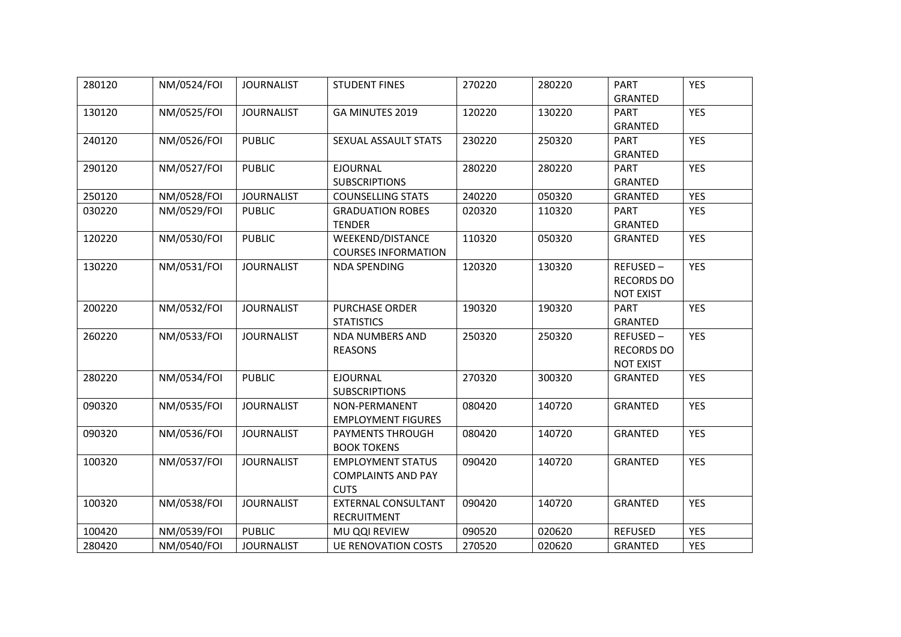| 280120 | NM/0524/FOI | <b>JOURNALIST</b> | <b>STUDENT FINES</b>                                                 | 270220 | 280220 | <b>PART</b><br><b>GRANTED</b>                     | <b>YES</b> |
|--------|-------------|-------------------|----------------------------------------------------------------------|--------|--------|---------------------------------------------------|------------|
| 130120 | NM/0525/FOI | <b>JOURNALIST</b> | GA MINUTES 2019                                                      | 120220 | 130220 | <b>PART</b><br><b>GRANTED</b>                     | <b>YES</b> |
| 240120 | NM/0526/FOI | <b>PUBLIC</b>     | SEXUAL ASSAULT STATS                                                 | 230220 | 250320 | <b>PART</b><br><b>GRANTED</b>                     | <b>YES</b> |
| 290120 | NM/0527/FOI | <b>PUBLIC</b>     | <b>EJOURNAL</b><br><b>SUBSCRIPTIONS</b>                              | 280220 | 280220 | <b>PART</b><br><b>GRANTED</b>                     | <b>YES</b> |
| 250120 | NM/0528/FOI | <b>JOURNALIST</b> | <b>COUNSELLING STATS</b>                                             | 240220 | 050320 | <b>GRANTED</b>                                    | <b>YES</b> |
| 030220 | NM/0529/FOI | <b>PUBLIC</b>     | <b>GRADUATION ROBES</b><br><b>TENDER</b>                             | 020320 | 110320 | <b>PART</b><br><b>GRANTED</b>                     | <b>YES</b> |
| 120220 | NM/0530/FOI | <b>PUBLIC</b>     | <b>WEEKEND/DISTANCE</b><br><b>COURSES INFORMATION</b>                | 110320 | 050320 | GRANTED                                           | <b>YES</b> |
| 130220 | NM/0531/FOI | <b>JOURNALIST</b> | <b>NDA SPENDING</b>                                                  | 120320 | 130320 | REFUSED-<br><b>RECORDS DO</b><br><b>NOT EXIST</b> | <b>YES</b> |
| 200220 | NM/0532/FOI | <b>JOURNALIST</b> | <b>PURCHASE ORDER</b><br><b>STATISTICS</b>                           | 190320 | 190320 | <b>PART</b><br><b>GRANTED</b>                     | <b>YES</b> |
| 260220 | NM/0533/FOI | <b>JOURNALIST</b> | <b>NDA NUMBERS AND</b><br><b>REASONS</b>                             | 250320 | 250320 | REFUSED-<br><b>RECORDS DO</b><br><b>NOT EXIST</b> | <b>YES</b> |
| 280220 | NM/0534/FOI | <b>PUBLIC</b>     | <b>EJOURNAL</b><br><b>SUBSCRIPTIONS</b>                              | 270320 | 300320 | GRANTED                                           | <b>YES</b> |
| 090320 | NM/0535/FOI | <b>JOURNALIST</b> | NON-PERMANENT<br><b>EMPLOYMENT FIGURES</b>                           | 080420 | 140720 | <b>GRANTED</b>                                    | <b>YES</b> |
| 090320 | NM/0536/FOI | <b>JOURNALIST</b> | PAYMENTS THROUGH<br><b>BOOK TOKENS</b>                               | 080420 | 140720 | <b>GRANTED</b>                                    | <b>YES</b> |
| 100320 | NM/0537/FOI | <b>JOURNALIST</b> | <b>EMPLOYMENT STATUS</b><br><b>COMPLAINTS AND PAY</b><br><b>CUTS</b> | 090420 | 140720 | <b>GRANTED</b>                                    | <b>YES</b> |
| 100320 | NM/0538/FOI | <b>JOURNALIST</b> | EXTERNAL CONSULTANT<br><b>RECRUITMENT</b>                            | 090420 | 140720 | <b>GRANTED</b>                                    | <b>YES</b> |
| 100420 | NM/0539/FOI | <b>PUBLIC</b>     | MU QQI REVIEW                                                        | 090520 | 020620 | <b>REFUSED</b>                                    | <b>YES</b> |
| 280420 | NM/0540/FOI | <b>JOURNALIST</b> | <b>UE RENOVATION COSTS</b>                                           | 270520 | 020620 | <b>GRANTED</b>                                    | <b>YES</b> |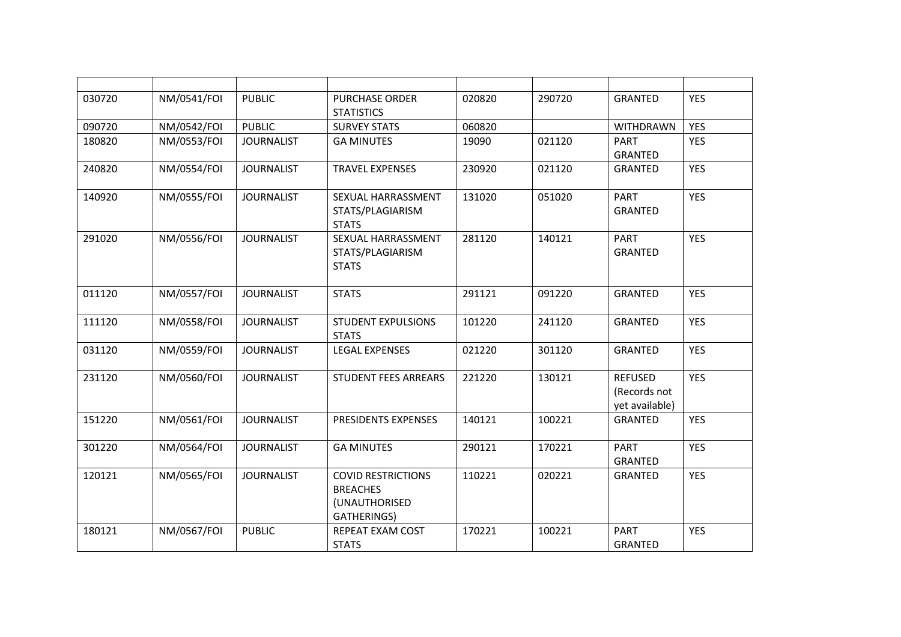| 030720 | NM/0541/FOI | <b>PUBLIC</b>     | <b>PURCHASE ORDER</b><br><b>STATISTICS</b>                                   | 020820 | 290720 | <b>GRANTED</b>                                   | <b>YES</b> |
|--------|-------------|-------------------|------------------------------------------------------------------------------|--------|--------|--------------------------------------------------|------------|
| 090720 | NM/0542/FOI | <b>PUBLIC</b>     | <b>SURVEY STATS</b>                                                          | 060820 |        | <b>WITHDRAWN</b>                                 | <b>YES</b> |
| 180820 | NM/0553/FOI | <b>JOURNALIST</b> | <b>GA MINUTES</b>                                                            | 19090  | 021120 | <b>PART</b><br><b>GRANTED</b>                    | <b>YES</b> |
| 240820 | NM/0554/FOI | <b>JOURNALIST</b> | <b>TRAVEL EXPENSES</b>                                                       | 230920 | 021120 | <b>GRANTED</b>                                   | <b>YES</b> |
| 140920 | NM/0555/FOI | <b>JOURNALIST</b> | SEXUAL HARRASSMENT<br>STATS/PLAGIARISM<br><b>STATS</b>                       | 131020 | 051020 | <b>PART</b><br><b>GRANTED</b>                    | <b>YES</b> |
| 291020 | NM/0556/FOI | <b>JOURNALIST</b> | SEXUAL HARRASSMENT<br>STATS/PLAGIARISM<br><b>STATS</b>                       | 281120 | 140121 | <b>PART</b><br><b>GRANTED</b>                    | <b>YES</b> |
| 011120 | NM/0557/FOI | <b>JOURNALIST</b> | <b>STATS</b>                                                                 | 291121 | 091220 | <b>GRANTED</b>                                   | <b>YES</b> |
| 111120 | NM/0558/FOI | <b>JOURNALIST</b> | <b>STUDENT EXPULSIONS</b><br><b>STATS</b>                                    | 101220 | 241120 | <b>GRANTED</b>                                   | <b>YES</b> |
| 031120 | NM/0559/FOI | <b>JOURNALIST</b> | <b>LEGAL EXPENSES</b>                                                        | 021220 | 301120 | <b>GRANTED</b>                                   | <b>YES</b> |
| 231120 | NM/0560/FOI | <b>JOURNALIST</b> | <b>STUDENT FEES ARREARS</b>                                                  | 221220 | 130121 | <b>REFUSED</b><br>(Records not<br>yet available) | <b>YES</b> |
| 151220 | NM/0561/FOI | <b>JOURNALIST</b> | PRESIDENTS EXPENSES                                                          | 140121 | 100221 | <b>GRANTED</b>                                   | <b>YES</b> |
| 301220 | NM/0564/FOI | <b>JOURNALIST</b> | <b>GA MINUTES</b>                                                            | 290121 | 170221 | <b>PART</b><br><b>GRANTED</b>                    | <b>YES</b> |
| 120121 | NM/0565/FOI | <b>JOURNALIST</b> | <b>COVID RESTRICTIONS</b><br><b>BREACHES</b><br>(UNAUTHORISED<br>GATHERINGS) | 110221 | 020221 | <b>GRANTED</b>                                   | <b>YES</b> |
| 180121 | NM/0567/FOI | <b>PUBLIC</b>     | REPEAT EXAM COST<br><b>STATS</b>                                             | 170221 | 100221 | <b>PART</b><br><b>GRANTED</b>                    | <b>YES</b> |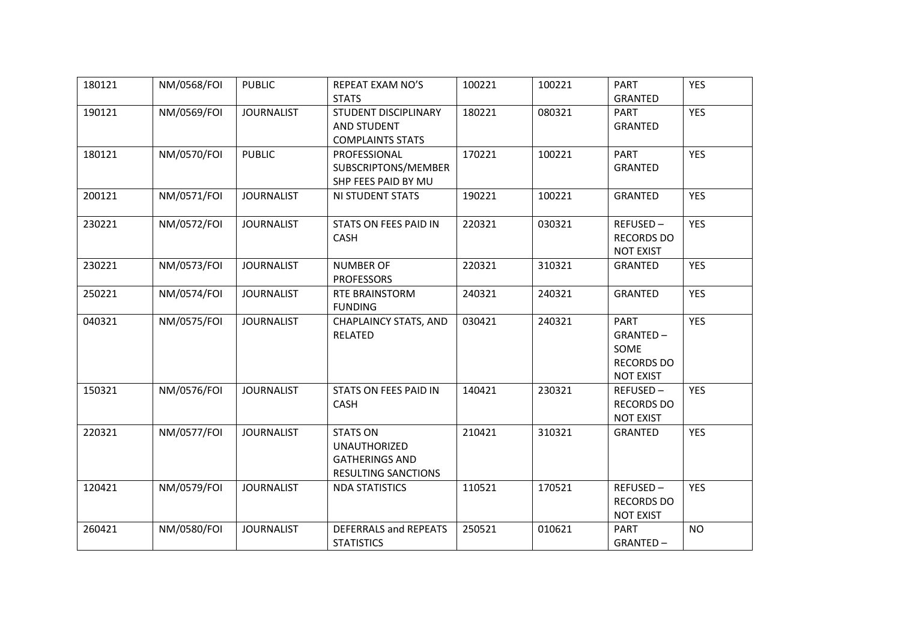| 180121 | NM/0568/FOI | <b>PUBLIC</b>     | REPEAT EXAM NO'S                                                                              | 100221 | 100221 | <b>PART</b>                                                              | <b>YES</b> |
|--------|-------------|-------------------|-----------------------------------------------------------------------------------------------|--------|--------|--------------------------------------------------------------------------|------------|
| 190121 | NM/0569/FOI | <b>JOURNALIST</b> | <b>STATS</b><br>STUDENT DISCIPLINARY<br><b>AND STUDENT</b>                                    | 180221 | 080321 | <b>GRANTED</b><br><b>PART</b><br><b>GRANTED</b>                          | <b>YES</b> |
| 180121 | NM/0570/FOI | <b>PUBLIC</b>     | <b>COMPLAINTS STATS</b><br>PROFESSIONAL<br>SUBSCRIPTONS/MEMBER<br>SHP FEES PAID BY MU         | 170221 | 100221 | <b>PART</b><br>GRANTED                                                   | <b>YES</b> |
| 200121 | NM/0571/FOI | <b>JOURNALIST</b> | NI STUDENT STATS                                                                              | 190221 | 100221 | <b>GRANTED</b>                                                           | <b>YES</b> |
| 230221 | NM/0572/FOI | <b>JOURNALIST</b> | STATS ON FEES PAID IN<br><b>CASH</b>                                                          | 220321 | 030321 | REFUSED-<br><b>RECORDS DO</b><br><b>NOT EXIST</b>                        | <b>YES</b> |
| 230221 | NM/0573/FOI | <b>JOURNALIST</b> | <b>NUMBER OF</b><br><b>PROFESSORS</b>                                                         | 220321 | 310321 | GRANTED                                                                  | <b>YES</b> |
| 250221 | NM/0574/FOI | <b>JOURNALIST</b> | RTE BRAINSTORM<br><b>FUNDING</b>                                                              | 240321 | 240321 | GRANTED                                                                  | <b>YES</b> |
| 040321 | NM/0575/FOI | <b>JOURNALIST</b> | <b>CHAPLAINCY STATS, AND</b><br>RELATED                                                       | 030421 | 240321 | <b>PART</b><br>GRANTED-<br>SOME<br><b>RECORDS DO</b><br><b>NOT EXIST</b> | <b>YES</b> |
| 150321 | NM/0576/FOI | <b>JOURNALIST</b> | STATS ON FEES PAID IN<br>CASH                                                                 | 140421 | 230321 | REFUSED-<br><b>RECORDS DO</b><br><b>NOT EXIST</b>                        | <b>YES</b> |
| 220321 | NM/0577/FOI | <b>JOURNALIST</b> | <b>STATS ON</b><br><b>UNAUTHORIZED</b><br><b>GATHERINGS AND</b><br><b>RESULTING SANCTIONS</b> | 210421 | 310321 | GRANTED                                                                  | <b>YES</b> |
| 120421 | NM/0579/FOI | <b>JOURNALIST</b> | <b>NDA STATISTICS</b>                                                                         | 110521 | 170521 | REFUSED-<br><b>RECORDS DO</b><br><b>NOT EXIST</b>                        | <b>YES</b> |
| 260421 | NM/0580/FOI | <b>JOURNALIST</b> | DEFERRALS and REPEATS<br><b>STATISTICS</b>                                                    | 250521 | 010621 | <b>PART</b><br>GRANTED-                                                  | <b>NO</b>  |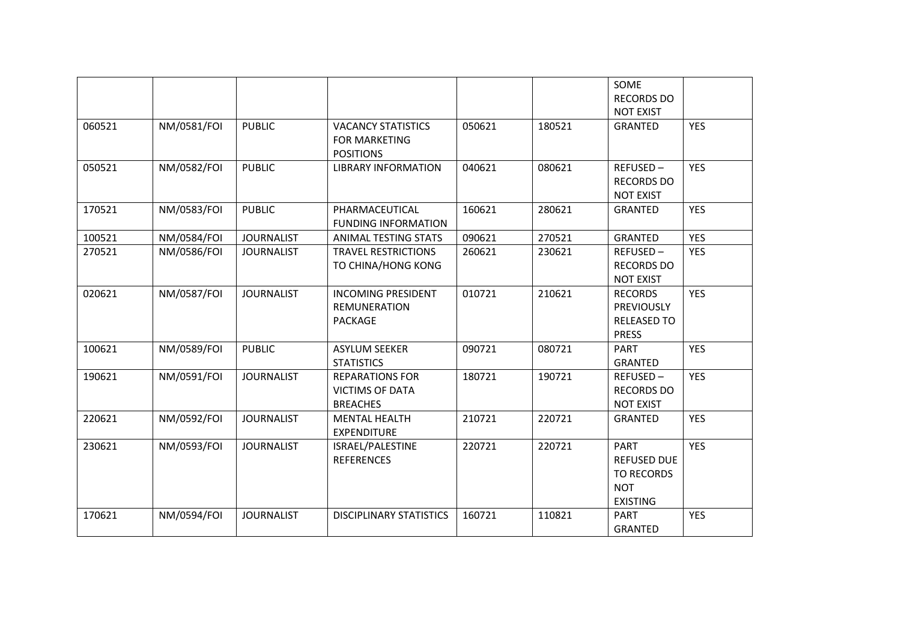|        |             |                   |                                                                       |        |        | SOME<br><b>RECORDS DO</b>                                                               |            |
|--------|-------------|-------------------|-----------------------------------------------------------------------|--------|--------|-----------------------------------------------------------------------------------------|------------|
| 060521 | NM/0581/FOI | <b>PUBLIC</b>     | <b>VACANCY STATISTICS</b><br><b>FOR MARKETING</b><br><b>POSITIONS</b> | 050621 | 180521 | <b>NOT EXIST</b><br><b>GRANTED</b>                                                      | <b>YES</b> |
| 050521 | NM/0582/FOI | <b>PUBLIC</b>     | <b>LIBRARY INFORMATION</b>                                            | 040621 | 080621 | REFUSED-<br><b>RECORDS DO</b><br><b>NOT EXIST</b>                                       | <b>YES</b> |
| 170521 | NM/0583/FOI | <b>PUBLIC</b>     | PHARMACEUTICAL<br><b>FUNDING INFORMATION</b>                          | 160621 | 280621 | <b>GRANTED</b>                                                                          | <b>YES</b> |
| 100521 | NM/0584/FOI | <b>JOURNALIST</b> | ANIMAL TESTING STATS                                                  | 090621 | 270521 | <b>GRANTED</b>                                                                          | <b>YES</b> |
| 270521 | NM/0586/FOI | <b>JOURNALIST</b> | <b>TRAVEL RESTRICTIONS</b><br>TO CHINA/HONG KONG                      | 260621 | 230621 | REFUSED-<br><b>RECORDS DO</b><br><b>NOT EXIST</b>                                       | <b>YES</b> |
| 020621 | NM/0587/FOI | <b>JOURNALIST</b> | <b>INCOMING PRESIDENT</b><br><b>REMUNERATION</b><br>PACKAGE           | 010721 | 210621 | <b>RECORDS</b><br><b>PREVIOUSLY</b><br><b>RELEASED TO</b><br><b>PRESS</b>               | <b>YES</b> |
| 100621 | NM/0589/FOI | <b>PUBLIC</b>     | <b>ASYLUM SEEKER</b><br><b>STATISTICS</b>                             | 090721 | 080721 | <b>PART</b><br><b>GRANTED</b>                                                           | <b>YES</b> |
| 190621 | NM/0591/FOI | <b>JOURNALIST</b> | <b>REPARATIONS FOR</b><br><b>VICTIMS OF DATA</b><br><b>BREACHES</b>   | 180721 | 190721 | REFUSED-<br><b>RECORDS DO</b><br><b>NOT EXIST</b>                                       | <b>YES</b> |
| 220621 | NM/0592/FOI | <b>JOURNALIST</b> | <b>MENTAL HEALTH</b><br><b>EXPENDITURE</b>                            | 210721 | 220721 | <b>GRANTED</b>                                                                          | <b>YES</b> |
| 230621 | NM/0593/FOI | <b>JOURNALIST</b> | ISRAEL/PALESTINE<br><b>REFERENCES</b>                                 | 220721 | 220721 | <b>PART</b><br><b>REFUSED DUE</b><br><b>TO RECORDS</b><br><b>NOT</b><br><b>EXISTING</b> | <b>YES</b> |
| 170621 | NM/0594/FOI | <b>JOURNALIST</b> | <b>DISCIPLINARY STATISTICS</b>                                        | 160721 | 110821 | <b>PART</b><br><b>GRANTED</b>                                                           | <b>YES</b> |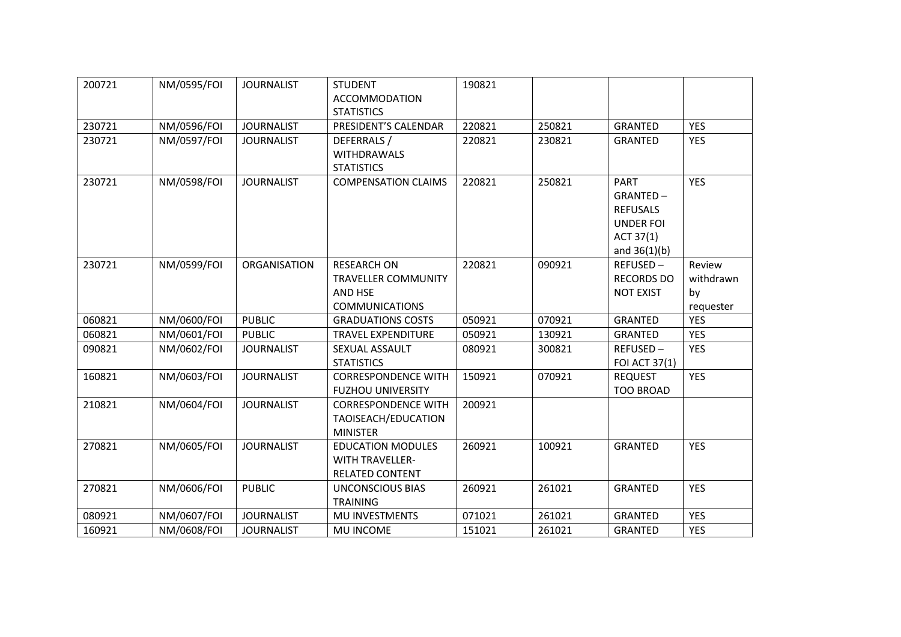| 200721 | NM/0595/FOI | <b>JOURNALIST</b> | <b>STUDENT</b>             | 190821 |        |                   |            |
|--------|-------------|-------------------|----------------------------|--------|--------|-------------------|------------|
|        |             |                   | <b>ACCOMMODATION</b>       |        |        |                   |            |
|        |             |                   | <b>STATISTICS</b>          |        |        |                   |            |
| 230721 | NM/0596/FOI | <b>JOURNALIST</b> | PRESIDENT'S CALENDAR       | 220821 | 250821 | <b>GRANTED</b>    | <b>YES</b> |
| 230721 | NM/0597/FOI | <b>JOURNALIST</b> | DEFERRALS /                | 220821 | 230821 | <b>GRANTED</b>    | <b>YES</b> |
|        |             |                   | <b>WITHDRAWALS</b>         |        |        |                   |            |
|        |             |                   | <b>STATISTICS</b>          |        |        |                   |            |
| 230721 | NM/0598/FOI | <b>JOURNALIST</b> | <b>COMPENSATION CLAIMS</b> | 220821 | 250821 | <b>PART</b>       | <b>YES</b> |
|        |             |                   |                            |        |        | GRANTED-          |            |
|        |             |                   |                            |        |        | <b>REFUSALS</b>   |            |
|        |             |                   |                            |        |        | <b>UNDER FOI</b>  |            |
|        |             |                   |                            |        |        | ACT 37(1)         |            |
|        |             |                   |                            |        |        | and $36(1)(b)$    |            |
| 230721 | NM/0599/FOI | ORGANISATION      | <b>RESEARCH ON</b>         | 220821 | 090921 | REFUSED-          | Review     |
|        |             |                   | <b>TRAVELLER COMMUNITY</b> |        |        | <b>RECORDS DO</b> | withdrawn  |
|        |             |                   | AND HSE                    |        |        | <b>NOT EXIST</b>  | by         |
|        |             |                   | <b>COMMUNICATIONS</b>      |        |        |                   | requester  |
| 060821 | NM/0600/FOI | <b>PUBLIC</b>     | <b>GRADUATIONS COSTS</b>   | 050921 | 070921 | <b>GRANTED</b>    | <b>YES</b> |
| 060821 | NM/0601/FOI | <b>PUBLIC</b>     | <b>TRAVEL EXPENDITURE</b>  | 050921 | 130921 | <b>GRANTED</b>    | <b>YES</b> |
| 090821 | NM/0602/FOI | <b>JOURNALIST</b> | SEXUAL ASSAULT             | 080921 | 300821 | REFUSED-          | <b>YES</b> |
|        |             |                   | <b>STATISTICS</b>          |        |        | FOI ACT 37(1)     |            |
| 160821 | NM/0603/FOI | <b>JOURNALIST</b> | <b>CORRESPONDENCE WITH</b> | 150921 | 070921 | <b>REQUEST</b>    | <b>YES</b> |
|        |             |                   | <b>FUZHOU UNIVERSITY</b>   |        |        | <b>TOO BROAD</b>  |            |
| 210821 | NM/0604/FOI | <b>JOURNALIST</b> | <b>CORRESPONDENCE WITH</b> | 200921 |        |                   |            |
|        |             |                   | TAOISEACH/EDUCATION        |        |        |                   |            |
|        |             |                   | <b>MINISTER</b>            |        |        |                   |            |
| 270821 | NM/0605/FOI | <b>JOURNALIST</b> | <b>EDUCATION MODULES</b>   | 260921 | 100921 | <b>GRANTED</b>    | <b>YES</b> |
|        |             |                   | <b>WITH TRAVELLER-</b>     |        |        |                   |            |
|        |             |                   | <b>RELATED CONTENT</b>     |        |        |                   |            |
| 270821 | NM/0606/FOI | <b>PUBLIC</b>     | <b>UNCONSCIOUS BIAS</b>    | 260921 | 261021 | <b>GRANTED</b>    | <b>YES</b> |
|        |             |                   | <b>TRAINING</b>            |        |        |                   |            |
| 080921 | NM/0607/FOI | <b>JOURNALIST</b> | MU INVESTMENTS             | 071021 | 261021 | <b>GRANTED</b>    | <b>YES</b> |
| 160921 | NM/0608/FOI | <b>JOURNALIST</b> | MU INCOME                  | 151021 | 261021 | <b>GRANTED</b>    | <b>YES</b> |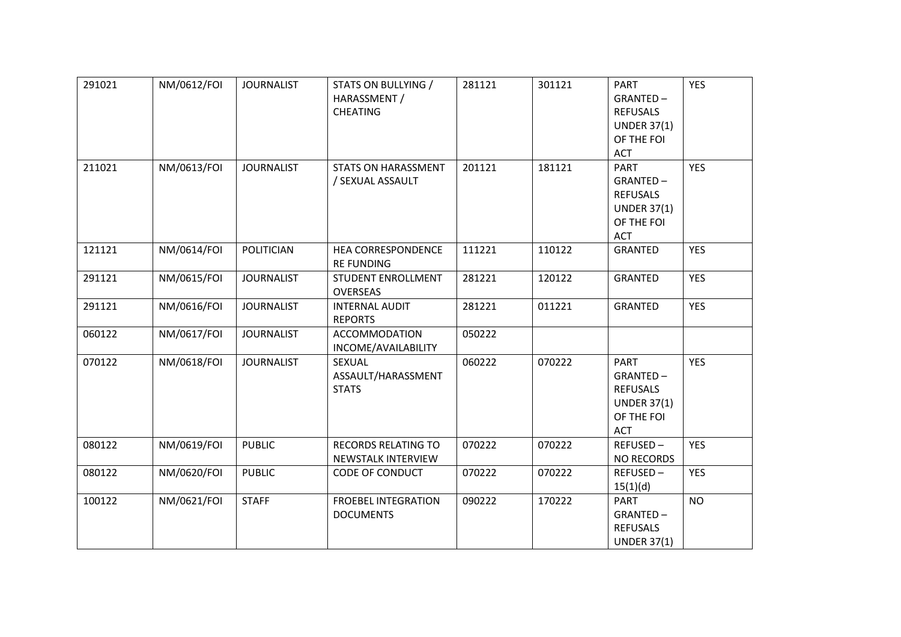| 291021 | NM/0612/FOI | <b>JOURNALIST</b> | STATS ON BULLYING /<br>HARASSMENT /<br><b>CHEATING</b> | 281121 | 301121 | <b>PART</b><br>GRANTED-<br><b>REFUSALS</b><br><b>UNDER 37(1)</b><br>OF THE FOI<br>ACT        | <b>YES</b> |
|--------|-------------|-------------------|--------------------------------------------------------|--------|--------|----------------------------------------------------------------------------------------------|------------|
| 211021 | NM/0613/FOI | <b>JOURNALIST</b> | <b>STATS ON HARASSMENT</b><br>/ SEXUAL ASSAULT         | 201121 | 181121 | <b>PART</b><br>GRANTED-<br><b>REFUSALS</b><br><b>UNDER 37(1)</b><br>OF THE FOI<br><b>ACT</b> | <b>YES</b> |
| 121121 | NM/0614/FOI | <b>POLITICIAN</b> | <b>HEA CORRESPONDENCE</b><br><b>RE FUNDING</b>         | 111221 | 110122 | <b>GRANTED</b>                                                                               | <b>YES</b> |
| 291121 | NM/0615/FOI | <b>JOURNALIST</b> | <b>STUDENT ENROLLMENT</b><br>OVERSEAS                  | 281221 | 120122 | <b>GRANTED</b>                                                                               | <b>YES</b> |
| 291121 | NM/0616/FOI | <b>JOURNALIST</b> | <b>INTERNAL AUDIT</b><br><b>REPORTS</b>                | 281221 | 011221 | GRANTED                                                                                      | <b>YES</b> |
| 060122 | NM/0617/FOI | <b>JOURNALIST</b> | <b>ACCOMMODATION</b><br>INCOME/AVAILABILITY            | 050222 |        |                                                                                              |            |
| 070122 | NM/0618/FOI | <b>JOURNALIST</b> | SEXUAL<br>ASSAULT/HARASSMENT<br><b>STATS</b>           | 060222 | 070222 | <b>PART</b><br>GRANTED-<br><b>REFUSALS</b><br><b>UNDER 37(1)</b><br>OF THE FOI<br>ACT        | <b>YES</b> |
| 080122 | NM/0619/FOI | <b>PUBLIC</b>     | <b>RECORDS RELATING TO</b><br>NEWSTALK INTERVIEW       | 070222 | 070222 | REFUSED-<br><b>NO RECORDS</b>                                                                | <b>YES</b> |
| 080122 | NM/0620/FOI | <b>PUBLIC</b>     | CODE OF CONDUCT                                        | 070222 | 070222 | REFUSED-<br>15(1)(d)                                                                         | <b>YES</b> |
| 100122 | NM/0621/FOI | <b>STAFF</b>      | <b>FROEBEL INTEGRATION</b><br><b>DOCUMENTS</b>         | 090222 | 170222 | <b>PART</b><br>GRANTED-<br><b>REFUSALS</b><br><b>UNDER 37(1)</b>                             | <b>NO</b>  |